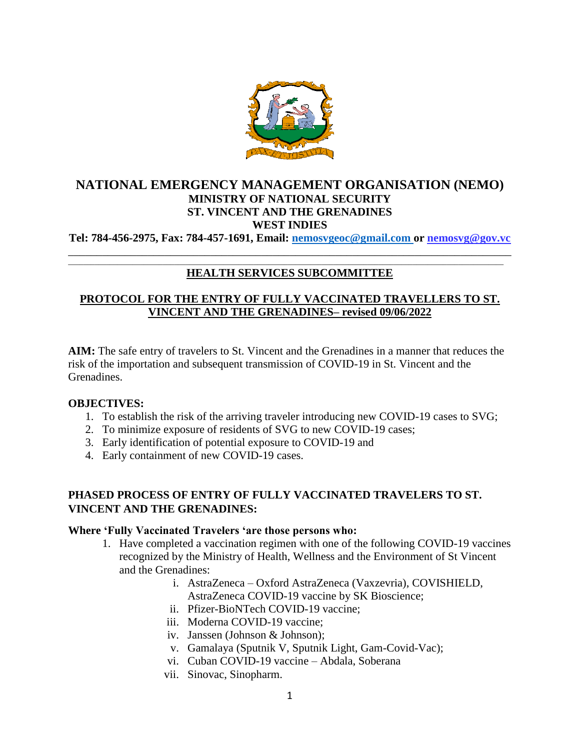

# **NATIONAL EMERGENCY MANAGEMENT ORGANISATION (NEMO) MINISTRY OF NATIONAL SECURITY ST. VINCENT AND THE GRENADINES WEST INDIES**

**Tel: 784-456-2975, Fax: 784-457-1691, Email: [nemosvgeoc@gmail.com o](mailto:nemosvgeoc@gmail.com)r nemosvg@gov.vc** \_\_\_\_\_\_\_\_\_\_\_\_\_\_\_\_\_\_\_\_\_\_\_\_\_\_\_\_\_\_\_\_\_\_\_\_\_\_\_\_\_\_\_\_\_\_\_\_\_\_\_\_\_\_\_\_\_\_\_\_\_\_\_\_\_\_\_\_\_\_\_\_\_\_\_\_\_\_

#### \_\_\_\_\_\_\_\_\_\_\_\_\_\_\_\_\_\_\_\_\_\_\_\_\_\_\_\_\_\_\_\_\_\_\_\_\_\_\_\_\_\_\_\_\_\_\_\_\_\_\_\_\_\_\_\_\_\_\_\_\_\_\_\_\_\_\_\_\_\_\_\_\_\_\_\_\_\_\_\_\_\_\_\_\_\_\_\_\_\_\_\_\_\_\_\_\_\_\_\_\_\_\_\_\_\_\_\_\_\_\_\_\_\_\_ **HEALTH SERVICES SUBCOMMITTEE**

# **PROTOCOL FOR THE ENTRY OF FULLY VACCINATED TRAVELLERS TO ST. VINCENT AND THE GRENADINES– revised 09/06/2022**

**AIM:** The safe entry of travelers to St. Vincent and the Grenadines in a manner that reduces the risk of the importation and subsequent transmission of COVID-19 in St. Vincent and the Grenadines.

## **OBJECTIVES:**

- 1. To establish the risk of the arriving traveler introducing new COVID-19 cases to SVG;
- 2. To minimize exposure of residents of SVG to new COVID-19 cases;
- 3. Early identification of potential exposure to COVID-19 and
- 4. Early containment of new COVID-19 cases.

# **PHASED PROCESS OF ENTRY OF FULLY VACCINATED TRAVELERS TO ST. VINCENT AND THE GRENADINES:**

## **Where 'Fully Vaccinated Travelers 'are those persons who:**

- 1. Have completed a vaccination regimen with one of the following COVID-19 vaccines recognized by the Ministry of Health, Wellness and the Environment of St Vincent and the Grenadines:
	- i. AstraZeneca Oxford AstraZeneca (Vaxzevria), COVISHIELD, AstraZeneca COVID-19 vaccine by SK Bioscience;
	- ii. Pfizer-BioNTech COVID-19 vaccine;
	- iii. Moderna COVID-19 vaccine;
	- iv. Janssen (Johnson & Johnson);
	- v. Gamalaya (Sputnik V, Sputnik Light, Gam-Covid-Vac);
	- vi. Cuban COVID-19 vaccine Abdala, Soberana
	- vii. Sinovac, Sinopharm.